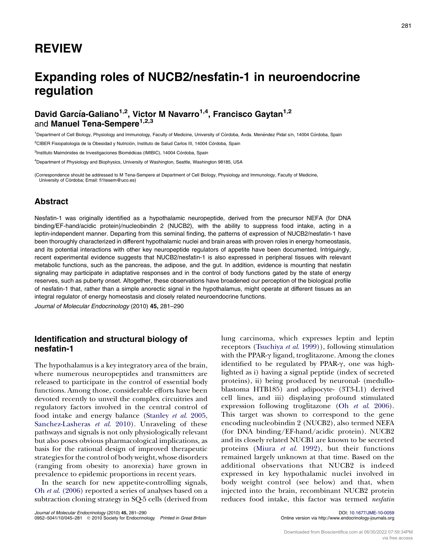## REVIEW

# Expanding roles of NUCB2/nesfatin-1 in neuroendocrine regulation

## David García-Galiano<sup>1,2</sup>, Victor M Navarro<sup>1,4</sup>, Francisco Gaytan<sup>1,2</sup> and Manuel Tena-Sempere<sup>1,2,3</sup>

<sup>1</sup>Department of Cell Biology, Physiology and Immunology, Faculty of Medicine, University of Córdoba, Avda. Menéndez Pidal s/n, 14004 Córdoba, Spain

<sup>2</sup>CIBER Fisiopatología de la Obesidad y Nutrición, Instituto de Salud Carlos III, 14004 Córdoba, Spain

<sup>3</sup>Instituto Maimónides de Investigaciones Biomédicas (IMIBIC), 14004 Córdoba, Spain

4 Department of Physiology and Biophysics, University of Washington, Seattle, Washington 98185, USA

(Correspondence should be addressed to M Tena-Sempere at Department of Cell Biology, Physiology and Immunology, Faculty of Medicine, University of Córdoba; Email: fi1tesem@uco.es)

#### Abstract

Nesfatin-1 was originally identified as a hypothalamic neuropeptide, derived from the precursor NEFA (for DNA binding/EF-hand/acidic protein)/nucleobindin 2 (NUCB2), with the ability to suppress food intake, acting in a leptin-independent manner. Departing from this seminal finding, the patterns of expression of NUCB2/nesfatin-1 have been thoroughly characterized in different hypothalamic nuclei and brain areas with proven roles in energy homeostasis, and its potential interactions with other key neuropeptide regulators of appetite have been documented. Intriguingly, recent experimental evidence suggests that NUCB2/nesfatin-1 is also expressed in peripheral tissues with relevant metabolic functions, such as the pancreas, the adipose, and the gut. In addition, evidence is mounting that nesfatin signaling may participate in adaptative responses and in the control of body functions gated by the state of energy reserves, such as puberty onset. Altogether, these observations have broadened our perception of the biological profile of nesfatin-1 that, rather than a simple anorectic signal in the hypothalamus, might operate at different tissues as an integral regulator of energy homeostasis and closely related neuroendocrine functions.

Journal of Molecular Endocrinology (2010) 45, 281–290

#### Identification and structural biology of nesfatin-1

The hypothalamus is a key integratory area of the brain, where numerous neuropeptides and transmitters are released to participate in the control of essential body functions. Among those, considerable efforts have been devoted recently to unveil the complex circuitries and regulatory factors involved in the central control of food intake and energy balance ([Stanley](#page-8-0) et al. 2005, [Sanchez-Lasheras](#page-8-0) et al. 2010). Unraveling of these pathways and signals is not only physiologically relevant but also poses obvious pharmacological implications, as basis for the rational design of improved therapeutic strategies for the control of body weight, whose disorders (ranging from obesity to anorexia) have grown in prevalence to epidemic proportions in recent years.

In the search for new appetite-controlling signals, Oh et al[. \(2006\)](#page-8-0) reported a series of analyses based on a subtraction cloning strategy in SQ-5 cells (derived from

Journal of Molecular Endocrinology (2010) 45, 281–290 DOI: [10.1677/JME-10-0059](http://dx.doi.org/10.1677/JME-10-0059) 0952–5041/10/045–281 © 2010 Society for Endocrinology Printed in Great Britain

lung carcinoma, which expresses leptin and leptin receptors [\(Tsuchiya](#page-9-0) et al. 1999)), following stimulation with the PPAR- $\gamma$  ligand, troglitazone. Among the clones identified to be regulated by PPAR- $\gamma$ , one was highlighted as i) having a signal peptide (index of secreted proteins), ii) being produced by neuronal- (medulloblastoma HTB185) and adipocyte- (3T3-L1) derived cell lines, and iii) displaying profound stimulated expression following troglitazone (Oh et al[. 2006\)](#page-8-0). This target was shown to correspond to the gene encoding nucleobindin 2 (NUCB2), also termed NEFA (for DNA binding/EF-hand/acidic protein). NUCB2 and its closely related NUCB1 are known to be secreted proteins (Miura et al[. 1992\)](#page-8-0), but their functions remained largely unknown at that time. Based on the additional observations that NUCB2 is indeed expressed in key hypothalamic nuclei involved in body weight control (see below) and that, when injected into the brain, recombinant NUCB2 protein reduces food intake, this factor was termed nesfatin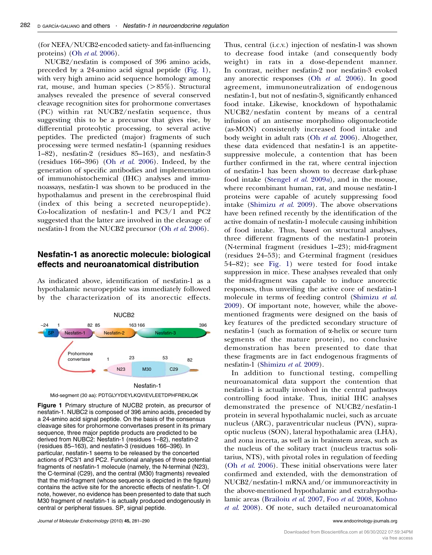(for NEFA/NUCB2-encoded satiety- and fat-influencing proteins) (Oh et al[. 2006](#page-8-0)).

NUCB2/nesfatin is composed of 396 amino acids, preceded by a 24-amino acid signal peptide (Fig. 1), with very high amino acid sequence homology among rat, mouse, and human species (>85%). Structural analyses revealed the presence of several conserved cleavage recognition sites for prohormone convertases (PC) within rat NUCB2/nesfatin sequence, thus suggesting this to be a precursor that gives rise, by differential proteolytic processing, to several active peptides. The predicted (major) fragments of such processing were termed nesfatin-1 (spanning residues 1–82), nesfatin-2 (residues 85–163), and nesfatin-3 (residues 166–396) (Oh et al[. 2006](#page-8-0)). Indeed, by the generation of specific antibodies and implementation of immunohistochemical (IHC) analyses and immunoassays, nesfatin-1 was shown to be produced in the hypothalamus and present in the cerebrospinal fluid (index of this being a secreted neuropeptide). Co-localization of nesfatin-1 and PC3/1 and PC2 suggested that the latter are involved in the cleavage of nesfatin-1 from the NUCB2 precursor (Oh et al[. 2006\)](#page-8-0).

#### Nesfatin-1 as anorectic molecule: biological effects and neuroanatomical distribution

As indicated above, identification of nesfatin-1 as a hypothalamic neuropeptide was immediately followed by the characterization of its anorectic effects.





Figure 1 Primary structure of NUCB2 protein, as precursor of nesfatin-1. NUBC2 is composed of 396 amino acids, preceded by a 24-amino acid signal peptide. On the basis of the consensus cleavage sites for prohormone convertases present in its primary sequence, three major peptide products are predicted to be derived from NUBC2: Nesfatin-1 (residues 1–82), nesfatin-2 (residues 85–163), and nesfatin-3 (residues 166–396). In particular, nesfatin-1 seems to be released by the concerted actions of PC3/1 and PC2. Functional analyses of three potential fragments of nesfatin-1 molecule (namely, the N-terminal (N23), the C-terminal (C29), and the central (M30) fragments) revealed that the mid-fragment (whose sequence is depicted in the figure) contains the active site for the anorectic effects of nesfatin-1. Of note, however, no evidence has been presented to date that such M30 fragment of nesfatin-1 is actually produced endogenously in central or peripheral tissues. SP, signal peptide.

Journal of Molecular Endocrinology (2010) 45, 281–290 www.endocrinology-journals.org

Thus, central (i.c.v.) injection of nesfatin-1 was shown to decrease food intake (and consequently body weight) in rats in a dose-dependent manner. In contrast, neither nesfatin-2 nor nesfatin-3 evoked any anorectic responses (Oh et al[. 2006\)](#page-8-0). In good agreement, immunoneutralization of endogenous nesfatin-1, but not of nesfatin-3, significantly enhanced food intake. Likewise, knockdown of hypothalamic NUCB2/nesfatin content by means of a central infusion of an antisense morpholino oligonucleotide (as-MON) consistently increased food intake and body weight in adult rats (Oh et al[. 2006\)](#page-8-0). Altogether, these data evidenced that nesfatin-1 is an appetitesuppressive molecule, a contention that has been further confirmed in the rat, where central injection of nesfatin-1 has been shown to decrease dark-phase food intake ([Stengel](#page-8-0) et al. 2009a), and in the mouse, where recombinant human, rat, and mouse nesfatin-1 proteins were capable of acutely suppressing food intake [\(Shimizu](#page-8-0) et al. 2009). The above observations have been refined recently by the identification of the active domain of nesfatin-1 molecule causing inhibition of food intake. Thus, based on structural analyses, three different fragments of the nesfatin-1 protein (N-terminal fragment (residues 1–23); mid-fragment (residues 24–53); and C-terminal fragment (residues 54–82); see Fig. 1) were tested for food intake suppression in mice. These analyses revealed that only the mid-fragment was capable to induce anorectic responses, thus unveiling the active core of nesfatin-1 molecule in terms of feeding control ([Shimizu](#page-8-0) et al. [2009](#page-8-0)). Of important note, however, while the abovementioned fragments were designed on the basis of key features of the predicted secondary structure of nesfatin-1 (such as formation of a-helix or secure turn segments of the mature protein), no conclusive demonstration has been presented to date that these fragments are in fact endogenous fragments of nesfatin-1 ([Shimizu](#page-8-0) et al. 2009).

In addition to functional testing, compelling neuroanatomical data support the contention that nesfatin-1 is actually involved in the central pathways controlling food intake. Thus, initial IHC analyses demonstrated the presence of NUCB2/nesfatin-1 protein in several hypothalamic nuclei, such as arcuate nucleus (ARC), paraventricular nucleus (PVN), supraoptic nucleus (SON), lateral hypothalamic area (LHA), and zona incerta, as well as in brainstem areas, such as the nucleus of the solitary tract (nucleus tractus solitarius, NTS), with pivotal roles in regulation of feeding (Oh et al[. 2006](#page-8-0)). These initial observations were later confirmed and extended, with the demonstration of NUCB2/nesfatin-1 mRNA and/or immunoreactivity in the above-mentioned hypothalamic and extrahypothalamic areas [\(Brailoiu](#page-7-0) et al. 2007, Foo et al[. 2008](#page-8-0), [Kohno](#page-8-0) et al[. 2008](#page-8-0)). Of note, such detailed neuroanatomical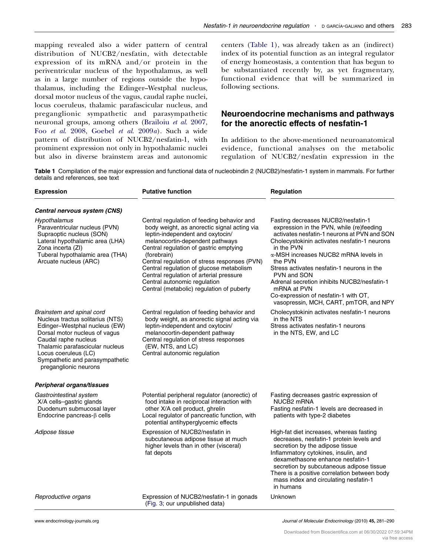<span id="page-2-0"></span>mapping revealed also a wider pattern of central distribution of NUCB2/nesfatin, with detectable expression of its mRNA and/or protein in the periventricular nucleus of the hypothalamus, as well as in a large number of regions outside the hypothalamus, including the Edinger–Westphal nucleus, dorsal motor nucleus of the vagus, caudal raphe nuclei, locus coeruleus, thalamic parafascicular nucleus, and preganglionic sympathetic and parasympathetic neuronal groups, among others [\(Brailoiu](#page-7-0) et al. 2007, Foo et al[. 2008](#page-8-0), [Goebel](#page-8-0) et al. 2009a). Such a wide pattern of distribution of NUCB2/nesfatin-1, with prominent expression not only in hypothalamic nuclei but also in diverse brainstem areas and autonomic centers (Table 1), was already taken as an (indirect) index of its potential function as an integral regulator of energy homeostasis, a contention that has begun to be substantiated recently by, as yet fragmentary, functional evidence that will be summarized in following sections.

### Neuroendocrine mechanisms and pathways for the anorectic effects of nesfatin-1

In addition to the above-mentioned neuroanatomical evidence, functional analyses on the metabolic regulation of NUCB2/nesfatin expression in the

Table 1 Compilation of the major expression and functional data of nucleobindin 2 (NUCB2)/nesfatin-1 system in mammals. For further details and references, see text

| <b>Expression</b>                                                                                                                                                                                                                                                              | <b>Putative function</b>                                                                                                                                                                                                                                                                                                                                                                                                                      | Regulation                                                                                                                                                                                                                                                                                                                                                                                                                                                  |
|--------------------------------------------------------------------------------------------------------------------------------------------------------------------------------------------------------------------------------------------------------------------------------|-----------------------------------------------------------------------------------------------------------------------------------------------------------------------------------------------------------------------------------------------------------------------------------------------------------------------------------------------------------------------------------------------------------------------------------------------|-------------------------------------------------------------------------------------------------------------------------------------------------------------------------------------------------------------------------------------------------------------------------------------------------------------------------------------------------------------------------------------------------------------------------------------------------------------|
| Central nervous system (CNS)                                                                                                                                                                                                                                                   |                                                                                                                                                                                                                                                                                                                                                                                                                                               |                                                                                                                                                                                                                                                                                                                                                                                                                                                             |
| Hypothalamus<br>Paraventricular nucleus (PVN)<br>Supraoptic nucleus (SON)<br>Lateral hypothalamic area (LHA)<br>Zona incerta (ZI)<br>Tuberal hypothalamic area (THA)<br>Arcuate nucleus (ARC)                                                                                  | Central regulation of feeding behavior and<br>body weight, as anorectic signal acting via<br>leptin-independent and oxytocin/<br>melanocortin-dependent pathways<br>Central regulation of gastric emptying<br>(forebrain)<br>Central regulation of stress responses (PVN)<br>Central regulation of glucose metabolism<br>Central regulation of arterial pressure<br>Central autonomic regulation<br>Central (metabolic) regulation of puberty | Fasting decreases NUCB2/nesfatin-1<br>expression in the PVN, while (re)feeding<br>activates nesfatin-1 neurons at PVN and SON<br>Cholecystokinin activates nesfatin-1 neurons<br>in the PVN<br>α-MSH increases NUCB2 mRNA levels in<br>the PVN<br>Stress activates nesfatin-1 neurons in the<br>PVN and SON<br>Adrenal secretion inhibits NUCB2/nesfatin-1<br>mRNA at PVN<br>Co-expression of nesfatin-1 with OT,<br>vasopressin, MCH, CART, pmTOR, and NPY |
| Brainstem and spinal cord<br>Nucleus tractus solitarius (NTS)<br>Edinger-Westphal nucleus (EW)<br>Dorsal motor nucleus of vagus<br>Caudal raphe nucleus<br>Thalamic parafascicular nucleus<br>Locus coeruleus (LC)<br>Sympathetic and parasympathetic<br>preganglionic neurons | Central regulation of feeding behavior and<br>body weight, as anorectic signal acting via<br>leptin-independent and oxytocin/<br>melanocortin-dependent pathway<br>Central regulation of stress responses<br>(EW, NTS, and LC)<br>Central autonomic regulation                                                                                                                                                                                | Cholecystokinin activates nesfatin-1 neurons<br>in the NTS<br>Stress activates nesfatin-1 neurons<br>in the NTS, EW, and LC                                                                                                                                                                                                                                                                                                                                 |
| Peripheral organs/tissues                                                                                                                                                                                                                                                      |                                                                                                                                                                                                                                                                                                                                                                                                                                               |                                                                                                                                                                                                                                                                                                                                                                                                                                                             |
| Gastrointestinal system<br>X/A cells-gastric glands<br>Duodenum submucosal layer<br>Endocrine pancreas- $\beta$ cells                                                                                                                                                          | Potential peripheral regulator (anorectic) of<br>food intake in reciprocal interaction with<br>other X/A cell product, ghrelin<br>Local regulator of pancreatic function, with<br>potential antihyperglycemic effects                                                                                                                                                                                                                         | Fasting decreases gastric expression of<br>NUCB2 mRNA<br>Fasting nesfatin-1 levels are decreased in<br>patients with type-2 diabetes                                                                                                                                                                                                                                                                                                                        |
| Adipose tissue                                                                                                                                                                                                                                                                 | Expression of NUCB2/nesfatin in<br>subcutaneous adipose tissue at much<br>higher levels than in other (visceral)<br>fat depots                                                                                                                                                                                                                                                                                                                | High-fat diet increases, whereas fasting<br>decreases, nesfatin-1 protein levels and<br>secretion by the adipose tissue<br>Inflammatory cytokines, insulin, and<br>dexamethasone enhance nesfatin-1<br>secretion by subcutaneous adipose tissue<br>There is a positive correlation between body<br>mass index and circulating nesfatin-1<br>in humans                                                                                                       |
| Reproductive organs                                                                                                                                                                                                                                                            | Expression of NUCB2/nesfatin-1 in gonads<br>(Fig. 3; our unpublished data)                                                                                                                                                                                                                                                                                                                                                                    | Unknown                                                                                                                                                                                                                                                                                                                                                                                                                                                     |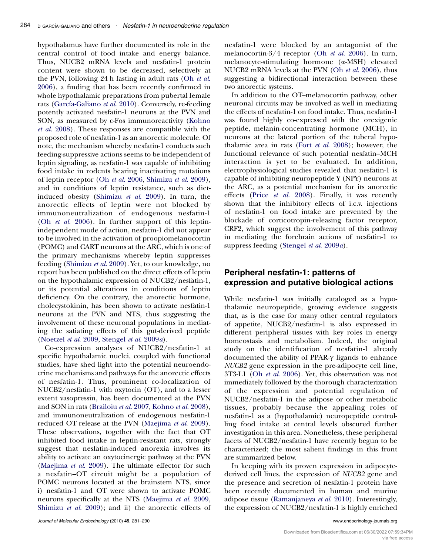hypothalamus have further documented its role in the central control of food intake and energy balance. Thus, NUCB2 mRNA levels and nesfatin-1 protein content were shown to be decreased, selectively at the PVN, following 24 h fasting in adult rats (Oh [et al](#page-8-0). [2006](#page-8-0)), a finding that has been recently confirmed in whole hypothalamic preparations from pubertal female rats (García-Galiano et al. 2010). Conversely, re-feeding potently activated nesfatin-1 neurons at the PVN and SON, as measured by c-Fos immunoreactivity [\(Kohno](#page-8-0) et al[. 2008](#page-8-0)). These responses are compatible with the proposed role of nesfatin-1 as an anorectic molecule. Of note, the mechanism whereby nesfatin-1 conducts such feeding-suppressive actions seems to be independent of leptin signaling, as nesfatin-1 was capable of inhibiting food intake in rodents bearing inactivating mutations of leptin receptor (Oh et al[. 2006](#page-8-0), [Shimizu](#page-8-0) et al. 2009), and in conditions of leptin resistance, such as dietinduced obesity [\(Shimizu](#page-8-0) et al. 2009). In turn, the anorectic effects of leptin were not blocked by immunoneutralization of endogenous nesfatin-1 (Oh et al[. 2006\)](#page-8-0). In further support of this leptinindependent mode of action, nesfatin-1 did not appear to be involved in the activation of proopiomelanocortin (POMC) and CART neurons at the ARC, which is one of the primary mechanisms whereby leptin suppresses feeding [\(Shimizu](#page-8-0) et al. 2009). Yet, to our knowledge, no report has been published on the direct effects of leptin on the hypothalamic expression of NUCB2/nesfatin-1, or its potential alterations in conditions of leptin deficiency. On the contrary, the anorectic hormone, cholecystokinin, has been shown to activate nesfatin-1 neurons at the PVN and NTS, thus suggesting the involvement of these neuronal populations in mediating the satiating effects of this gut-derived peptide [\(Noetzel](#page-8-0) et al. 2009, [Stengel](#page-8-0) et al. 2009a).

Co-expression analyses of NUCB2/nesfatin-1 at specific hypothalamic nuclei, coupled with functional studies, have shed light into the potential neuroendocrine mechanisms and pathways for the anorectic effects of nesfatin-1. Thus, prominent co-localization of NUCB2/nesfatin-1 with oxytocin (OT), and to a lesser extent vasopressin, has been documented at the PVN and SON in rats ([Brailoiu](#page-7-0) et al. 2007, [Kohno](#page-8-0) et al. 2008), and immunoneutralization of endogenous nesfatin-1 reduced OT release at the PVN [\(Maejima](#page-8-0) et al. 2009). These observations, together with the fact that OT inhibited food intake in leptin-resistant rats, strongly suggest that nesfatin-induced anorexia involves its ability to activate an oxytocinergic pathway at the PVN [\(Maejima](#page-8-0) et al. 2009). The ultimate effector for such a nesfatin–OT circuit might be a population of POMC neurons located at the brainstem NTS, since i) nesfatin-1 and OT were shown to activate POMC neurons specifically at the NTS [\(Maejima](#page-8-0) et al. 2009, [Shimizu](#page-8-0) et al. 2009); and ii) the anorectic effects of nesfatin-1 were blocked by an antagonist of the melanocortin- $3/4$  receptor (Oh *et al.* 2006). In turn, melanocyte-stimulating hormone (a-MSH) elevated NUCB2 mRNA levels at the PVN (Oh et al[. 2006](#page-8-0)), thus suggesting a bidirectional interaction between these two anorectic systems.

In addition to the OT–melanocortin pathway, other neuronal circuits may be involved as well in mediating the effects of nesfatin-1 on food intake. Thus, nesfatin-1 was found highly co-expressed with the orexigenic peptide, melanin-concentrating hormone (MCH), in neurons at the lateral portion of the tuberal hypothalamic area in rats (Fort  $et$   $al.$  2008); however, the functional relevance of such potential nesfatin–MCH interaction is yet to be evaluated. In addition, electrophysiological studies revealed that nesfatin-1 is capable of inhibiting neuropeptide Y (NPY) neurons at the ARC, as a potential mechanism for its anorectic effects (Price et al[. 2008](#page-8-0)). Finally, it was recently shown that the inhibitory effects of i.c.v. injections of nesfatin-1 on food intake are prevented by the blockade of corticotropin-releasing factor receptor, CRF2, which suggest the involvement of this pathway in mediating the forebrain actions of nesfatin-1 to suppress feeding ([Stengel](#page-8-0) et al. 2009a).

#### Peripheral nesfatin-1: patterns of expression and putative biological actions

While nesfatin-1 was initially cataloged as a hypothalamic neuropeptide, growing evidence suggests that, as is the case for many other central regulators of appetite, NUCB2/nesfatin-1 is also expressed in different peripheral tissues with key roles in energy homeostasis and metabolism. Indeed, the original study on the identification of nesfatin-1 already documented the ability of PPAR- $\gamma$  ligands to enhance NUCB2 gene expression in the pre-adipocyte cell line, 3T3-L1 (Oh et al[. 2006](#page-8-0)). Yet, this observation was not immediately followed by the thorough characterization of the expression and potential regulation of NUCB2/nesfatin-1 in the adipose or other metabolic tissues, probably because the appealing roles of nesfatin-1 as a (hypothalamic) neuropeptide controlling food intake at central levels obscured further investigation in this area. Nonetheless, these peripheral facets of NUCB2/nesfatin-1 have recently begun to be characterized; the most salient findings in this front are summarized below.

In keeping with its proven expression in adipocytederived cell lines, the expression of NUCB2 gene and the presence and secretion of nesfatin-1 protein have been recently documented in human and murine adipose tissue [\(Ramanjaneya](#page-8-0) et al. 2010). Interestingly, the expression of NUCB2/nesfatin-1 is highly enriched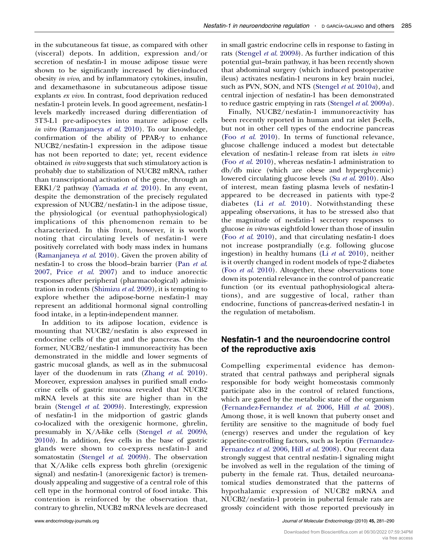in the subcutaneous fat tissue, as compared with other (visceral) depots. In addition, expression and/or secretion of nesfatin-1 in mouse adipose tissue were shown to be significantly increased by diet-induced obesity in vivo, and by inflammatory cytokines, insulin, and dexamethasone in subcutaneous adipose tissue explants ex vivo. In contrast, food deprivation reduced nesfatin-1 protein levels. In good agreement, nesfatin-1 levels markedly increased during differentiation of 3T3-L1 pre-adipocytes into mature adipose cells in vitro ([Ramanjaneya](#page-8-0) et al. 2010). To our knowledge, confirmation of the ability of PPAR- $\gamma$  to enhance NUCB2/nesfatin-1 expression in the adipose tissue has not been reported to date; yet, recent evidence obtained in vitro suggests that such stimulatory action is probably due to stabilization of NUCB2 mRNA, rather than transcriptional activation of the gene, through an ERK1/2 pathway [\(Yamada](#page-9-0) et al. 2010). In any event, despite the demonstration of the precisely regulated expression of NUCB2/nesfatin-1 in the adipose tissue, the physiological (or eventual pathophysiological) implications of this phenomenon remain to be characterized. In this front, however, it is worth noting that circulating levels of nesfatin-1 were positively correlated with body mass index in humans [\(Ramanjaneya](#page-8-0) et al. 2010). Given the proven ability of nesfatin-1 to cross the blood–brain barrier (Pan [et al](#page-8-0). [2007,](#page-8-0) Price et al[. 2007](#page-8-0)) and to induce anorectic responses after peripheral (pharmacological) administration in rodents ([Shimizu](#page-8-0) et al. 2009), it is tempting to explore whether the adipose-borne nesfatin-1 may represent an additional hormonal signal controlling food intake, in a leptin-independent manner.

In addition to its adipose location, evidence is mounting that NUCB2/nesfatin is also expressed in endocrine cells of the gut and the pancreas. On the former, NUCB2/nesfatin-1 immunoreactivity has been demonstrated in the middle and lower segments of gastric mucosal glands, as well as in the submucosal layer of the duodenum in rats (Zhang et al[. 2010\)](#page-9-0). Moreover, expression analyses in purified small endocrine cells of gastric mucosa revealed that NUCB2 mRNA levels at this site are higher than in the brain ([Stengel](#page-9-0) et al. 2009b). Interestingly, expression of nesfatin-1 in the midportion of gastric glands co-localized with the orexigenic hormone, ghrelin, presumably in X/A-like cells ([Stengel](#page-9-0) et al. 2009b, [2010](#page-9-0)b). In addition, few cells in the base of gastric glands were shown to co-express nesfatin-1 and somatostatin ([Stengel](#page-9-0) et al. 2009b). The observation that X/A-like cells express both ghrelin (orexigenic signal) and nesfatin-1 (anorexigenic factor) is tremendously appealing and suggestive of a central role of this cell type in the hormonal control of food intake. This contention is reinforced by the observation that, contrary to ghrelin, NUCB2 mRNA levels are decreased

in small gastric endocrine cells in response to fasting in rats [\(Stengel](#page-9-0) *et al.* 2009*b*). As further indication of this potential gut–brain pathway, it has been recently shown that abdominal surgery (which induced postoperative ileus) activates nesfatin-1 neurons in key brain nuclei, such as PVN, SON, and NTS [\(Stengel](#page-9-0) et al. 2010a), and central injection of nesfatin-1 has been demonstrated to reduce gastric emptying in rats ([Stengel](#page-8-0) et al. 2009a).

Finally, NUCB2/nesfatin-1 immunoreactivity has been recently reported in human and rat islet  $\beta$ -cells, but not in other cell types of the endocrine pancreas (Foo et al[. 2010\)](#page-8-0). In terms of functional relevance, glucose challenge induced a modest but detectable elevation of nesfatin-1 release from rat islets in vitro (Foo et al[. 2010\)](#page-8-0), whereas nesfatin-1 administration to db/db mice (which are obese and hyperglycemic) lowered circulating glucose levels (Su et al[. 2010](#page-9-0)). Also of interest, mean fasting plasma levels of nesfatin-1 appeared to be decreased in patients with type-2 diabetes (Li et al[. 2010\)](#page-8-0). Notwithstanding these appealing observations, it has to be stressed also that the magnitude of nesfatin-1 secretory responses to glucose in vitro was eightfold lower than those of insulin (Foo et al[. 2010\)](#page-8-0), and that circulating nesfatin-1 does not increase postprandially (e.g. following glucose ingestion) in healthy humans (Li et al[. 2010](#page-8-0)), neither is it overtly changed in rodent models of type-2 diabetes (Foo et al[. 2010](#page-8-0)). Altogether, these observations tone down its potential relevance in the control of pancreatic function (or its eventual pathophysiological alterations), and are suggestive of local, rather than endocrine, functions of pancreas-derived nesfatin-1 in the regulation of metabolism.

#### Nesfatin-1 and the neuroendocrine control of the reproductive axis

Compelling experimental evidence has demonstrated that central pathways and peripheral signals responsible for body weight homeostasis commonly participate also in the control of related functions, which are gated by the metabolic state of the organism ([Fernandez-Fernandez](#page-8-0) et al. 2006, Hill et al[. 2008\)](#page-8-0). Among those, it is well known that puberty onset and fertility are sensitive to the magnitude of body fuel (energy) reserves and under the regulation of key appetite-controlling factors, such as leptin ([Fernandez-](#page-8-0)[Fernandez](#page-8-0) et al. 2006, Hill et al[. 2008\)](#page-8-0). Our recent data strongly suggest that central nesfatin-1 signaling might be involved as well in the regulation of the timing of puberty in the female rat. Thus, detailed neuroanatomical studies demonstrated that the patterns of hypothalamic expression of NUCB2 mRNA and NUCB2/nesfatin-1 protein in pubertal female rats are grossly coincident with those reported previously in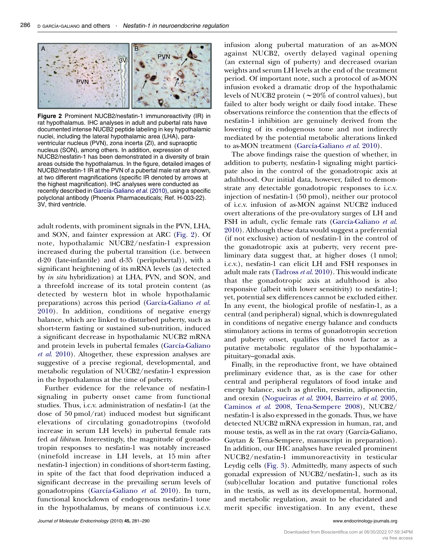

Figure 2 Prominent NUCB2/nesfatin-1 immunoreactivity (IR) in rat hypothalamus. IHC analyses in adult and pubertal rats have documented intense NUCB2 peptide labeling in key hypothalamic nuclei, including the lateral hypothalamic area (LHA), paraventricular nucleus (PVN), zona incerta (ZI), and supraoptic nucleus (SON), among others. In addition, expression of NUCB2/nesfatin-1 has been demonstrated in a diversity of brain areas outside the hypothalamus. In the figure, detailed images of NUCB2/nesfatin-1 IR at the PVN of a pubertal male rat are shown, at two different magnifications (specific IR denoted by arrows at the highest magnification). IHC analyses were conducted as recently described in García-Galiano et al. (2010), using a specific polyclonal antibody (Phoenix Pharmaceuticals; Ref. H-003-22). 3V, third ventricle.

adult rodents, with prominent signals in the PVN, LHA, and SON, and fainter expression at ARC (Fig. 2). Of note, hypothalamic NUCB2/nesfatin-1 expression increased during the pubertal transition (i.e. between d-20 (late-infantile) and d-35 (peripubertal)), with a significant heightening of its mRNA levels (as detected by in situ hybridization) at LHA, PVN, and SON, and a threefold increase of its total protein content (as detected by western blot in whole hypothalamic preparations) across this period (García-Galiano et al. [2010](#page-8-0)). In addition, conditions of negative energy balance, which are linked to disturbed puberty, such as short-term fasting or sustained sub-nutrition, induced a significant decrease in hypothalamic NUCB2 mRNA and protein levels in pubertal females (García-Galiano et al[. 2010](#page-8-0)). Altogether, these expression analyses are suggestive of a precise regional, developmental, and metabolic regulation of NUCB2/nesfatin-1 expression in the hypothalamus at the time of puberty.

Further evidence for the relevance of nesfatin-1 signaling in puberty onset came from functional studies. Thus, i.c.v. administration of nesfatin-1 (at the dose of 50 pmol/rat) induced modest but significant elevations of circulating gonadotropins (twofold increase in serum LH levels) in pubertal female rats fed ad libitum. Interestingly, the magnitude of gonadotropin responses to nesfatin-1 was notably increased (ninefold increase in LH levels, at 15 min after nesfatin-1 injection) in conditions of short-term fasting, in spite of the fact that food deprivation induced a significant decrease in the prevailing serum levels of gonadotropins (García-Galiano et al. 2010). In turn, functional knockdown of endogenous nesfatin-1 tone in the hypothalamus, by means of continuous i.c.v.

infusion along pubertal maturation of an as-MON against NUCB2, overtly delayed vaginal opening (an external sign of puberty) and decreased ovarian weights and serum LH levels at the end of the treatment period. Of important note, such a protocol of as-MON infusion evoked a dramatic drop of the hypothalamic levels of NUCB2 protein (*w*20% of control values), but failed to alter body weight or daily food intake. These observations reinforce the contention that the effects of nesfatin-1 inhibition are genuinely derived from the lowering of its endogenous tone and not indirectly mediated by the potential metabolic alterations linked to as-MON treatment (García-Galiano et al. 2010).

The above findings raise the question of whether, in addition to puberty, nesfatin-1 signaling might participate also in the control of the gonadotropic axis at adulthood. Our initial data, however, failed to demonstrate any detectable gonadotropic responses to i.c.v. injection of nesfatin-1 (50 pmol), neither our protocol of i.c.v. infusion of as-MON against NUCB2 induced overt alterations of the pre-ovulatory surges of LH and FSH in adult, cyclic female rats (García-Galiano et al. [2010](#page-8-0)). Although these data would suggest a preferential (if not exclusive) action of nesfatin-1 in the control of the gonadotropic axis at puberty, very recent preliminary data suggest that, at higher doses (1 nmol; i.c.v.), nesfatin-1 can elicit LH and FSH responses in adult male rats ([Tadross](#page-9-0) et al. 2010). This would indicate that the gonadotropic axis at adulthood is also responsive (albeit with lower sensitivity) to nesfatin-1; yet, potential sex differences cannot be excluded either. In any event, the biological profile of nesfatin-1, as a central (and peripheral) signal, which is downregulated in conditions of negative energy balance and conducts stimulatory actions in terms of gonadotropin secretion and puberty onset, qualifies this novel factor as a putative metabolic regulator of the hypothalamic– pituitary–gonadal axis.

Finally, in the reproductive front, we have obtained preliminary evidence that, as is the case for other central and peripheral regulators of food intake and energy balance, such as ghrelin, resistin, adiponectin, and orexin ([Nogueiras](#page-8-0) et al. 2004, [Barreiro](#page-7-0) et al. 2005, [Caminos](#page-8-0) et al. 2008, [Tena-Sempere 2008](#page-9-0)), NUCB2/ nesfatin-1 is also expressed in the gonads. Thus, we have detected NUCB2 mRNA expression in human, rat, and mouse testis, as well as in the rat ovary (García-Galiano, Gaytan & Tena-Sempere, manuscript in preparation). In addition, our IHC analyses have revealed prominent NUCB2/nesfatin-1 immunoreactivity in testicular Leydig cells [\(Fig. 3](#page-6-0)). Admittedly, many aspects of such gonadal expression of NUCB2/nesfatin-1, such as its (sub)cellular location and putative functional roles in the testis, as well as its developmental, hormonal, and metabolic regulation, await to be elucidated and merit specific investigation. In any event, these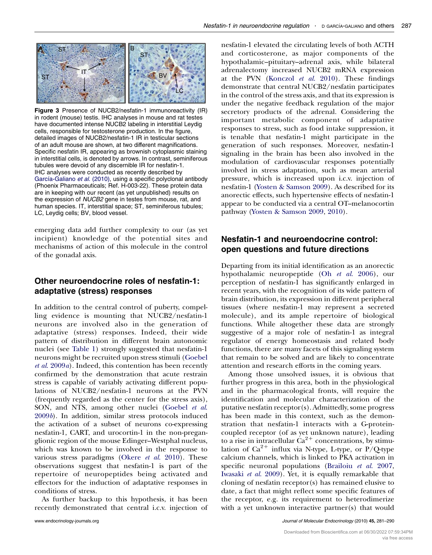<span id="page-6-0"></span>

Figure 3 Presence of NUCB2/nesfatin-1 immunoreactivity (IR) in rodent (mouse) testis. IHC analyses in mouse and rat testes have documented intense NUCB2 labeling in interstitial Leydig cells, responsible for testosterone production. In the figure, detailed images of NUCB2/nesfatin-1 IR in testicular sections of an adult mouse are shown, at two different magnifications. Specific nesfatin IR, appearing as brownish cytoplasmic staining in interstitial cells, is denoted by arrows. In contrast, seminiferous tubules were devoid of any discernible IR for nesfatin-1. IHC analyses were conducted as recently described by García-Galiano et al. (2010), using a specific polyclonal antibody (Phoenix Pharmaceuticals; Ref. H-003-22). These protein data are in keeping with our recent (as yet unpublished) results on the expression of NUCB2 gene in testes from mouse, rat, and human species. IT, interstitial space; ST, seminiferous tubules; LC, Leydig cells; BV, blood vessel.

emerging data add further complexity to our (as yet incipient) knowledge of the potential sites and mechanisms of action of this molecule in the control of the gonadal axis.

## Other neuroendocrine roles of nesfatin-1: adaptative (stress) responses

In addition to the central control of puberty, compelling evidence is mounting that NUCB2/nesfatin-1 neurons are involved also in the generation of adaptative (stress) responses. Indeed, their wide pattern of distribution in different brain autonomic nuclei (see [Table 1\)](#page-2-0) strongly suggested that nesfatin-1 neurons might be recruited upon stress stimuli ([Goebel](#page-8-0) et al[. 2009](#page-8-0)a). Indeed, this contention has been recently confirmed by the demonstration that acute restrain stress is capable of variably activating different populations of NUCB2/nesfatin-1 neurons at the PVN (frequently regarded as the center for the stress axis), SON, and NTS, among other nuclei ([Goebel](#page-8-0) et al. [2009](#page-8-0)b). In addition, similar stress protocols induced the activation of a subset of neurons co-expressing nesfatin-1, CART, and urocortin-1 in the non-preganglionic region of the mouse Edinger–Westphal nucleus, which was known to be involved in the response to various stress paradigms (Okere  $et$   $al.$  2010). These observations suggest that nesfatin-1 is part of the repertoire of neuropeptides being activated and effectors for the induction of adaptative responses in conditions of stress.

As further backup to this hypothesis, it has been recently demonstrated that central i.c.v. injection of

nesfatin-1 elevated the circulating levels of both ACTH and corticosterone, as major components of the hypothalamic–pituitary–adrenal axis, while bilateral adrenalectomy increased NUCB2 mRNA expression at the PVN ([Konczol](#page-8-0) et al. 2010). These findings demonstrate that central NUCB2/nesfatin participates in the control of the stress axis, and that its expression is under the negative feedback regulation of the major secretory products of the adrenal. Considering the important metabolic component of adaptative responses to stress, such as food intake suppression, it is tenable that nesfatin-1 might participate in the generation of such responses. Moreover, nesfatin-1 signaling in the brain has been also involved in the modulation of cardiovascular responses potentially involved in stress adaptation, such as mean arterial pressure, which is increased upon i.c.v. injection of nesfatin-1 [\(Yosten & Samson 2009](#page-9-0)). As described for its anorectic effects, such hypertensive effects of nesfatin-1 appear to be conducted via a central OT–melanocortin pathway ([Yosten & Samson 2009,](#page-9-0) [2010\)](#page-9-0).

## Nesfatin-1 and neuroendocrine control: open questions and future directions

Departing from its initial identification as an anorectic hypothalamic neuropeptide (Oh et al[. 2006\)](#page-8-0), our perception of nesfatin-1 has significantly enlarged in recent years, with the recognition of its wide pattern of brain distribution, its expression in different peripheral tissues (where nesfatin-1 may represent a secreted molecule), and its ample repertoire of biological functions. While altogether these data are strongly suggestive of a major role of nesfatin-1 as integral regulator of energy homeostasis and related body functions, there are many facets of this signaling system that remain to be solved and are likely to concentrate attention and research efforts in the coming years.

Among those unsolved issues, it is obvious that further progress in this area, both in the physiological and in the pharmacological fronts, will require the identification and molecular characterization of the putative nesfatin receptor(s). Admittedly, some progress has been made in this context, such as the demonstration that nesfatin-1 interacts with a G-proteincoupled receptor (of as yet unknown nature), leading to a rise in intracellular  $\text{Ca}^{2+}$  concentrations, by stimulation of  $Ca^{2+}$  influx via N-type, L-type, or P/Q-type calcium channels, which is linked to PKA activation in specific neuronal populations ([Brailoiu](#page-7-0) et al. 2007, [Iwasaki](#page-8-0) et al. 2009). Yet, it is equally remarkable that cloning of nesfatin receptor(s) has remained elusive to date, a fact that might reflect some specific features of the receptor, e.g. its requirement to heterodimerize with a yet unknown interactive partner(s) that would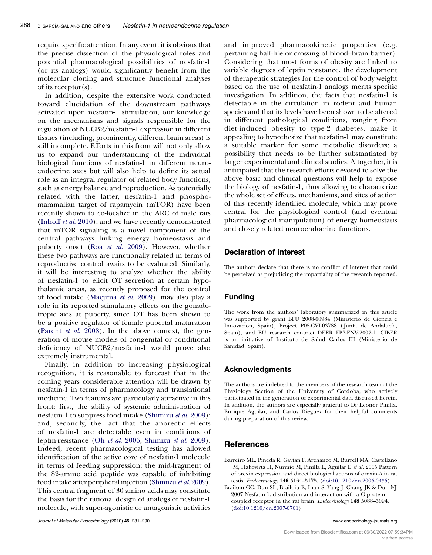<span id="page-7-0"></span>require specific attention. In any event, it is obvious that the precise dissection of the physiological roles and potential pharmacological possibilities of nesfatin-1 (or its analogs) would significantly benefit from the molecular cloning and structure functional analyses of its receptor(s).

In addition, despite the extensive work conducted toward elucidation of the downstream pathways activated upon nesfatin-1 stimulation, our knowledge on the mechanisms and signals responsible for the regulation of NUCB2/nesfatin-1 expression in different tissues (including, prominently, different brain areas) is still incomplete. Efforts in this front will not only allow us to expand our understanding of the individual biological functions of nesfatin-1 in different neuroendocrine axes but will also help to define its actual role as an integral regulator of related body functions, such as energy balance and reproduction. As potentially related with the latter, nesfatin-1 and phosphomammalian target of rapamycin (mTOR) have been recently shown to co-localize in the ARC of male rats [\(Inhoff](#page-8-0) et al. 2010), and we have recently demonstrated that mTOR signaling is a novel component of the central pathways linking energy homeostasis and puberty onset (Roa et al[. 2009](#page-8-0)). However, whether these two pathways are functionally related in terms of reproductive control awaits to be evaluated. Similarly, it will be interesting to analyze whether the ability of nesfatin-1 to elicit OT secretion at certain hypothalamic areas, as recently proposed for the control of food intake ([Maejima](#page-8-0) et al. 2009), may also play a role in its reported stimulatory effects on the gonadotropic axis at puberty, since OT has been shown to be a positive regulator of female pubertal maturation [\(Parent](#page-8-0) et al. 2008). In the above context, the generation of mouse models of congenital or conditional deficiency of NUCB2/nesfatin-1 would prove also extremely instrumental.

Finally, in addition to increasing physiological recognition, it is reasonable to forecast that in the coming years considerable attention will be drawn by nesfatin-1 in terms of pharmacology and translational medicine. Two features are particularly attractive in this front: first, the ability of systemic administration of nesfatin-1 to suppress food intake ([Shimizu](#page-8-0) et al. 2009); and, secondly, the fact that the anorectic effects of nesfatin-1 are detectable even in conditions of leptin-resistance (Oh et al[. 2006,](#page-8-0) [Shimizu](#page-8-0) et al. 2009). Indeed, recent pharmacological testing has allowed identification of the active core of nesfatin-1 molecule in terms of feeding suppression: the mid-fragment of the 82-amino acid peptide was capable of inhibiting food intake after peripheral injection [\(Shimizu](#page-8-0) et al. 2009). This central fragment of 30 amino acids may constitute the basis for the rational design of analogs of nesfatin-1 molecule, with super-agonistic or antagonistic activities

and improved pharmacokinetic properties (e.g. pertaining half-life or crossing of blood–brain barrier). Considering that most forms of obesity are linked to variable degrees of leptin resistance, the development of therapeutic strategies for the control of body weight based on the use of nesfatin-1 analogs merits specific investigation. In addition, the facts that nesfatin-1 is detectable in the circulation in rodent and human species and that its levels have been shown to be altered in different pathological conditions, ranging from diet-induced obesity to type-2 diabetes, make it appealing to hypothesize that nesfatin-1 may constitute a suitable marker for some metabolic disorders; a possibility that needs to be further substantiated by larger experimental and clinical studies. Altogether, it is anticipated that the research efforts devoted to solve the above basic and clinical questions will help to expose the biology of nesfatin-1, thus allowing to characterize the whole set of effects, mechanisms, and sites of action of this recently identified molecule, which may prove central for the physiological control (and eventual pharmacological manipulation) of energy homeostasis and closely related neuroendocrine functions.

#### Declaration of interest

The authors declare that there is no conflict of interest that could be perceived as prejudicing the impartiality of the research reported.

#### Funding

The work from the authors' laboratory summarized in this article was supported by grant BFU 2008-00984 (Ministerio de Ciencia e Innovación, Spain), Project P08-CVI-03788 (Junta de Andalucía, Spain), and EU research contract DEER FP7-ENV-2007-1. CIBER is an initiative of Instituto de Salud Carlos III (Ministerio de Sanidad, Spain).

#### Acknowledgments

The authors are indebted to the members of the research team at the Physiology Section of the University of Cordoba, who actively participated in the generation of experimental data discussed herein. In addition, the authors are especially grateful to Dr Leonor Pinilla, Enrique Aguilar, and Carlos Dieguez for their helpful comments during preparation of this review.

#### **References**

- Barreiro ML, Pineda R, Gaytan F, Archanco M, Burrell MA, Castellano JM, Hakovirta H, Nurmio M, Pinilla L, Aguilar E et al. 2005 Pattern of orexin expression and direct biological actions of orexin-A in rat testis. Endocrinology 146 5164–5175. [\(doi:10.1210/en.2005-0455\)](http://dx.doi.org/10.1210/en.2005-0455)
- Brailoiu GC, Dun SL, Brailoiu E, Inan S, Yang J, Chang JK & Dun NJ 2007 Nesfatin-1: distribution and interaction with a G proteincoupled receptor in the rat brain. Endocrinology 148 5088–5094. ([doi:10.1210/en.2007-0701](http://dx.doi.org/10.1210/en.2007-0701))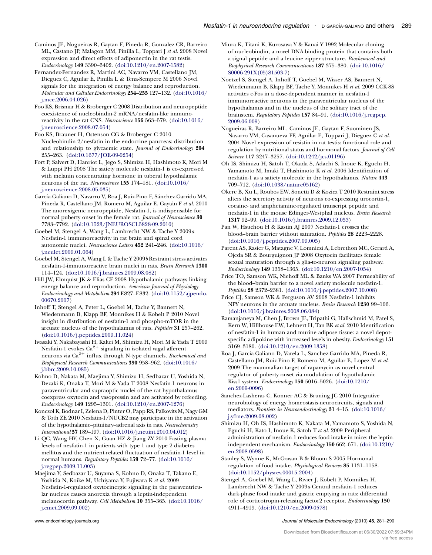- <span id="page-8-0"></span>Caminos JE, Nogueiras R, Gaytan F, Pineda R, Gonzalez CR, Barreiro ML, Castano JP, Malagon MM, Pinilla L, Toppari J et al. 2008 Novel expression and direct effects of adiponectin in the rat testis. Endocrinology 149 3390–3402. ([doi:10.1210/en.2007-1582](http://dx.doi.org/10.1210/en.2007-1582))
- Fernandez-Fernandez R, Martini AC, Navarro VM, Castellano JM, Dieguez C, Aguilar E, Pinilla L & Tena-Sempere M 2006 Novel signals for the integration of energy balance and reproduction. Molecular and Cellular Endocrinology 254–255 127–132. [\(doi:10.1016/](http://dx.doi.org/10.1016/j.mce.2006.04.026) [j.mce.2006.04.026\)](http://dx.doi.org/10.1016/j.mce.2006.04.026)
- Foo KS, Brismar H & Broberger C 2008 Distribution and neuropeptide coexistence of nucleobindin-2 mRNA/nesfatin-like immunoreactivity in the rat CNS. Neuroscience 156 563–579. [\(doi:10.1016/](http://dx.doi.org/10.1016/j.neuroscience.2008.07.054) [j.neuroscience.2008.07.054\)](http://dx.doi.org/10.1016/j.neuroscience.2008.07.054)
- Foo KS, Brauner H, Ostenson CG & Broberger C 2010 Nucleobindin-2/nesfatin in the endocrine pancreas: distribution and relationship to glycaemic state. Journal of Endocrinology 204 255–263. [\(doi:10.1677/JOE-09-0254\)](http://dx.doi.org/10.1677/JOE-09-0254)
- Fort P, Salvert D, Hanriot L, Jego S, Shimizu H, Hashimoto K, Mori M & Luppi PH 2008 The satiety molecule nesfatin-1 is co-expressed with melanin concentrating hormone in tuberal hypothalamic neurons of the rat. Neuroscience 155 174–181. [\(doi:10.1016/](http://dx.doi.org/10.1016/j.neuroscience.2008.05.035) [j.neuroscience.2008.05.035\)](http://dx.doi.org/10.1016/j.neuroscience.2008.05.035)
- García-Galiano D, Navarro V, Roa J, Ruiz-Pino F, Sánchez-Garrido MA, Pineda R, Castellano JM, Romero M, Aguilar E, Gaytán F et al. 2010 The anorexigenic neuropeptide, Nesfatin-1, is indispensable for normal puberty onset in the female rat. Journal of Neuroscience 30 7783–7792. ([doi:10.1523/JNEUROSCI.5828-09.2010](http://dx.doi.org/10.1523/JNEUROSCI.5828-09.2010))
- Goebel M, Stengel A, Wang L, Lambrecht NW & Tache Y 2009a Nesfatin-1 immunoreactivity in rat brain and spinal cord autonomic nuclei. Neuroscience Letters 452 241–246. [\(doi:10.1016/](http://dx.doi.org/10.1016/j.neulet.2009.01.064) [j.neulet.2009.01.064](http://dx.doi.org/10.1016/j.neulet.2009.01.064))
- Goebel M, Stengel A, Wang L & Tache Y 2009b Restraint stress activates nesfatin-1-immunoreactive brain nuclei in rats. Brain Research 1300 114–124. ([doi:10.1016/j.brainres.2009.08.082\)](http://dx.doi.org/10.1016/j.brainres.2009.08.082)
- Hill JW, Elmquist JK & Elias CF 2008 Hypothalamic pathways linking energy balance and reproduction. American Journal of Physiology. Endocrinology and Metabolism 294 E827–E832. ([doi:10.1152/ajpendo.](http://dx.doi.org/10.1152/ajpendo.00670.2007) [00670.2007](http://dx.doi.org/10.1152/ajpendo.00670.2007))
- Inhoff T, Stengel A, Peter L, Goebel M, Tache Y, Bannert N, Wiedenmann B, Klapp BF, Monnikes H & Kobelt P 2010 Novel insight in distribution of nesfatin-1 and phospho-mTOR in the arcuate nucleus of the hypothalamus of rats. Peptides 31 257–262. ([doi:10.1016/j.peptides.2009.11.024\)](http://dx.doi.org/10.1016/j.peptides.2009.11.024)
- Iwasaki Y, Nakabayashi H, Kakei M, Shimizu H, Mori M & Yada T 2009 Nesfatin-1 evokes  $Ca^{2+}$  signaling in isolated vagal afferent neurons via  $Ca^{2+}$  influx through N-type channels. Biochemical and Biophysical Research Communications 390 958–962. [\(doi:10.1016/](http://dx.doi.org/10.1016/j.bbrc.2009.10.085) [j.bbrc.2009.10.085\)](http://dx.doi.org/10.1016/j.bbrc.2009.10.085)
- Kohno D, Nakata M, Maejima Y, Shimizu H, Sedbazar U, Yoshida N, Dezaki K, Onaka T, Mori M & Yada T 2008 Nesfatin-1 neurons in paraventricular and supraoptic nuclei of the rat hypothalamus coexpress oxytocin and vasopressin and are activated by refeeding. Endocrinology 149 1295–1301. ([doi:10.1210/en.2007-1276](http://dx.doi.org/10.1210/en.2007-1276))
- Konczol K, Bodnar I, Zelena D, Pinter O, Papp RS, Palkovits M, Nagy GM & Toth ZE 2010 Nesfatin-1/NUCB2 may participate in the activation of the hypothalamic–pituitary–adrenal axis in rats. Neurochemistry International 57 189–197. [\(doi:10.1016/j.neuint.2010.04.012\)](http://dx.doi.org/10.1016/j.neuint.2010.04.012)
- Li QC, Wang HY, Chen X, Guan HZ & Jiang ZY 2010 Fasting plasma levels of nesfatin-1 in patients with type 1 and type 2 diabetes mellitus and the nutrient-related fluctuation of nesfatin-1 level in normal humans. Regulatory Peptides 159 72–77. ([doi:10.1016/](http://dx.doi.org/10.1016/j.regpep.2009.11.003) [j.regpep.2009.11.003](http://dx.doi.org/10.1016/j.regpep.2009.11.003))
- Maejima Y, Sedbazar U, Suyama S, Kohno D, Onaka T, Takano E, Yoshida N, Koike M, Uchiyama Y, Fujiwara K et al. 2009 Nesfatin-1-regulated oxytocinergic signaling in the paraventricular nucleus causes anorexia through a leptin-independent melanocortin pathway. Cell Metabolism 10 355–365. [\(doi:10.1016/](http://dx.doi.org/10.1016/j.cmet.2009.09.002) [j.cmet.2009.09.002](http://dx.doi.org/10.1016/j.cmet.2009.09.002))
- Miura K, Titani K, Kurosawa Y & Kanai Y 1992 Molecular cloning of nucleobindin, a novel DNA-binding protein that contains both a signal peptide and a leucine zipper structure. Biochemical and Biophysical Research Communications 187 375–380. [\(doi:10.1016/](http://dx.doi.org/10.1016/S0006-291X(05)81503-7) [S0006-291X\(05\)81503-7](http://dx.doi.org/10.1016/S0006-291X(05)81503-7))
- Noetzel S, Stengel A, Inhoff T, Goebel M, Wisser AS, Bannert N, Wiedenmann B, Klapp BF, Tache Y, Monnikes H et al. 2009 CCK-8S activates c-Fos in a dose-dependent manner in nesfatin-1 immunoreactive neurons in the paraventricular nucleus of the hypothalamus and in the nucleus of the solitary tract of the brainstem. Regulatory Peptides 157 84–91. [\(doi:10.1016/j.regpep.](http://dx.doi.org/10.1016/j.regpep.2009.06.009) [2009.06.009](http://dx.doi.org/10.1016/j.regpep.2009.06.009))
- Nogueiras R, Barreiro ML, Caminos JE, Gaytan F, Suominen JS, Navarro VM, Casanueva FF, Aguilar E, Toppari J, Dieguez C et al. 2004 Novel expression of resistin in rat testis: functional role and regulation by nutritional status and hormonal factors. Journal of Cell Science 117 3247–3257. [\(doi:10.1242/jcs.01196](http://dx.doi.org/10.1242/jcs.01196))
- Oh IS, Shimizu H, Satoh T, Okada S, Adachi S, Inoue K, Eguchi H, Yamamoto M, Imaki T, Hashimoto K et al. 2006 Identification of nesfatin-1 as a satiety molecule in the hypothalamus. Nature 443 709–712. ([doi:10.1038/nature05162](http://dx.doi.org/10.1038/nature05162))
- Okere B, Xu L, Roubos EW, Sonetti D & Kozicz T 2010 Restraint stress alters the secretory activity of neurons co-expressing urocortin-1, cocaine- and amphetamine-regulated transcript peptide and nesfatin-1 in the mouse Edinger-Westphal nucleus. Brain Research 1317 92–99. ([doi:10.1016/j.brainres.2009.12.053\)](http://dx.doi.org/10.1016/j.brainres.2009.12.053)
- Pan W, Hsuchou H & Kastin AJ 2007 Nesfatin-1 crosses the blood–brain barrier without saturation. Peptides 28 2223–2228. ([doi:10.1016/j.peptides.2007.09.005\)](http://dx.doi.org/10.1016/j.peptides.2007.09.005)
- Parent AS, Rasier G, Matagne V, Lomniczi A, Lebrethon MC, Gerard A, Ojeda SR & Bourguignon JP 2008 Oxytocin facilitates female sexual maturation through a glia-to-neuron signaling pathway. Endocrinology 149 1358–1365. [\(doi:10.1210/en.2007-1054\)](http://dx.doi.org/10.1210/en.2007-1054)
- Price TO, Samson WK, Niehoff ML & Banks WA 2007 Permeability of the blood–brain barrier to a novel satiety molecule nesfatin-1. Peptides 28 2372–2381. [\(doi:10.1016/j.peptides.2007.10.008](http://dx.doi.org/10.1016/j.peptides.2007.10.008))
- Price CJ, Samson WK & Ferguson AV 2008 Nesfatin-1 inhibits NPY neurons in the arcuate nucleus. Brain Research 1230 99–106. ([doi:10.1016/j.brainres.2008.06.084\)](http://dx.doi.org/10.1016/j.brainres.2008.06.084)
- Ramanjaneya M, Chen J, Brown JE, Tripathi G, Hallschmid M, Patel S, Kern W, Hillhouse EW, Lehnert H, Tan BK et al. 2010 Identification of nesfatin-1 in human and murine adipose tissue: a novel depotspecific adipokine with increased levels in obesity. Endocrinology 151 3169–3180. ([doi:10.1210/en.2009-1358](http://dx.doi.org/10.1210/en.2009-1358))
- Roa J, Garcia-Galiano D, Varela L, Sanchez-Garrido MA, Pineda R, Castellano JM, Ruiz-Pino F, Romero M, Aguilar E, Lopez M et al. 2009 The mammalian target of rapamycin as novel central regulator of puberty onset via modulation of hypothalamic Kiss1 system. Endocrinology 150 5016–5026. [\(doi:10.1210/](http://dx.doi.org/10.1210/en.2009-0096) [en.2009-0096\)](http://dx.doi.org/10.1210/en.2009-0096)
- Sanchez-Lasheras C, Konner AC & Bruning JC 2010 Integrative neurobiology of energy homeostasis-neurocircuits, signals and mediators. Frontiers in Neuroendocrinology 31 4–15. ([doi:10.1016/](http://dx.doi.org/10.1016/j.yfrne.2009.08.002) [j.yfrne.2009.08.002\)](http://dx.doi.org/10.1016/j.yfrne.2009.08.002)
- Shimizu H, Oh IS, Hashimoto K, Nakata M, Yamamoto S, Yoshida N, Eguchi H, Kato I, Inoue K, Satoh T et al. 2009 Peripheral administration of nesfatin-1 reduces food intake in mice: the leptinindependent mechanism. Endocrinology 150 662–671. [\(doi:10.1210/](http://dx.doi.org/10.1210/en.2008-0598) [en.2008-0598\)](http://dx.doi.org/10.1210/en.2008-0598)
- Stanley S, Wynne K, McGowan B & Bloom S 2005 Hormonal regulation of food intake. Physiological Reviews 85 1131–1158. ([doi:10.1152/physrev.00015.2004\)](http://dx.doi.org/10.1152/physrev.00015.2004)
- Stengel A, Goebel M, Wang L, Rivier J, Kobelt P, Monnikes H, Lambrecht NW & Tache Y 2009a Central nesfatin-1 reduces dark-phase food intake and gastric emptying in rats: differential role of corticotropin-releasing factor2 receptor. Endocrinology 150 4911–4919. ([doi:10.1210/en.2009-0578](http://dx.doi.org/10.1210/en.2009-0578))